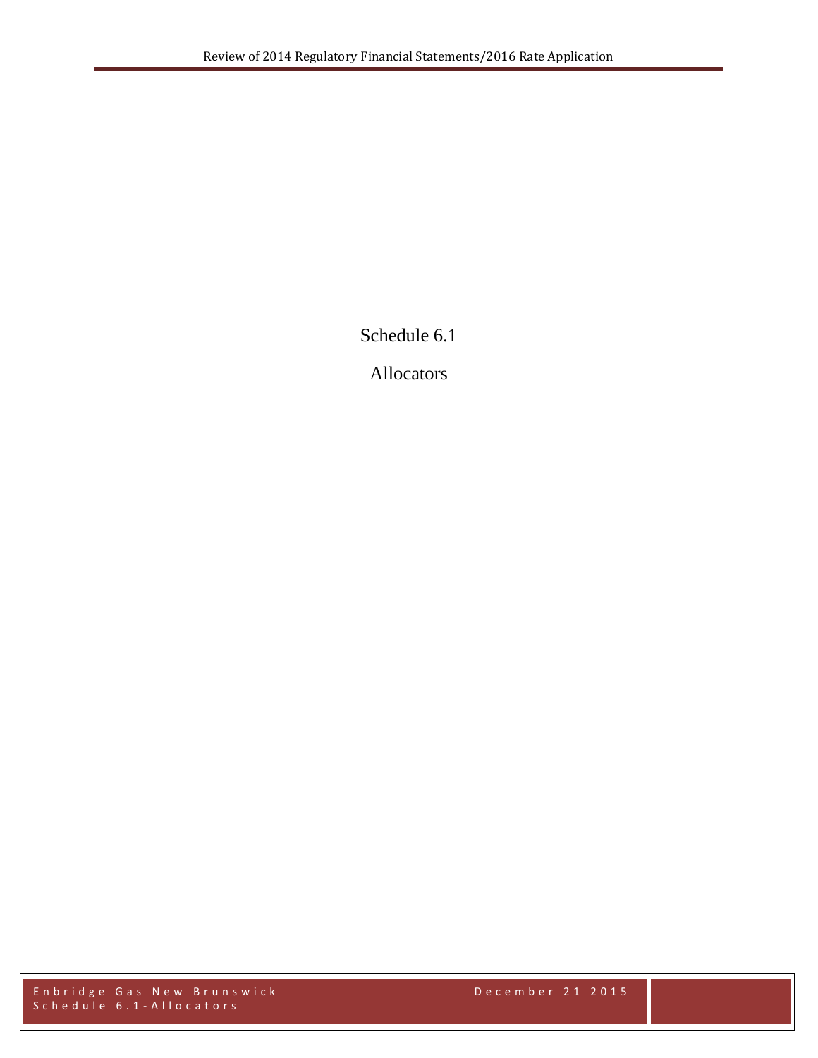Schedule 6.1

Allocators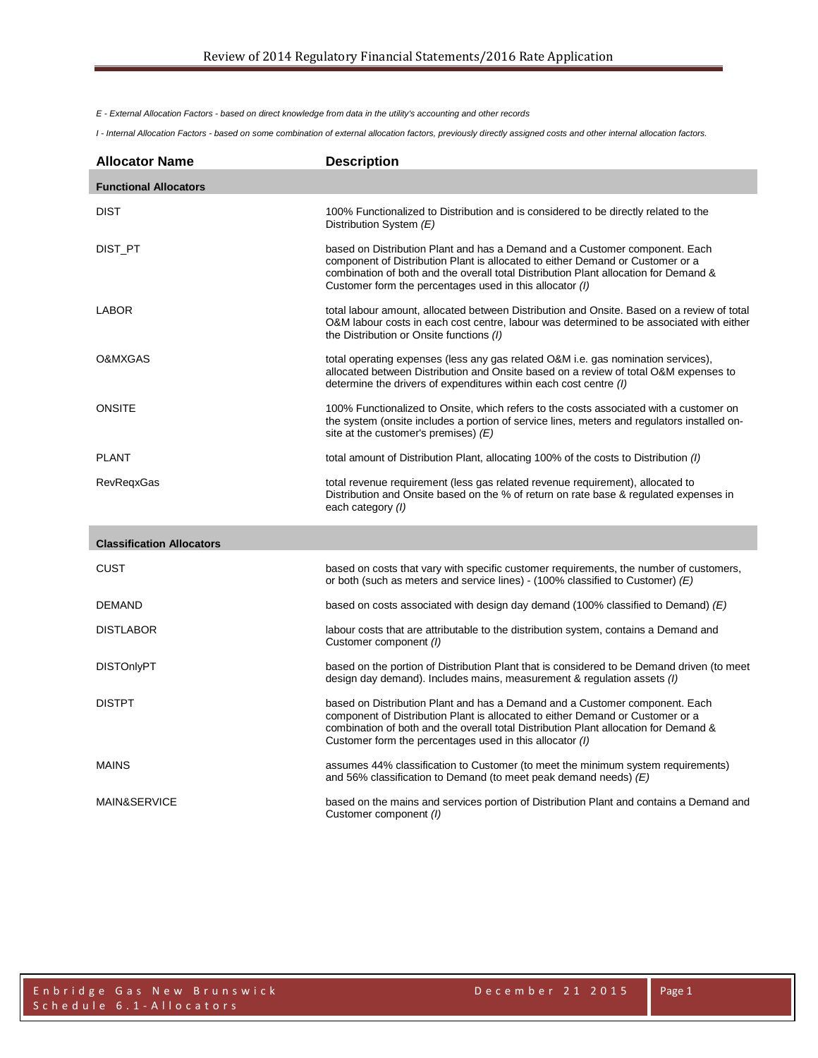*E - External Allocation Factors - based on direct knowledge from data in the utility's accounting and other records*

*I - Internal Allocation Factors - based on some combination of external allocation factors, previously directly assigned costs and other internal allocation factors.*

| <b>Allocator Name</b>            | <b>Description</b>                                                                                                                                                                                                                                                                                                |
|----------------------------------|-------------------------------------------------------------------------------------------------------------------------------------------------------------------------------------------------------------------------------------------------------------------------------------------------------------------|
| <b>Functional Allocators</b>     |                                                                                                                                                                                                                                                                                                                   |
| <b>DIST</b>                      | 100% Functionalized to Distribution and is considered to be directly related to the<br>Distribution System (E)                                                                                                                                                                                                    |
| DIST_PT                          | based on Distribution Plant and has a Demand and a Customer component. Each<br>component of Distribution Plant is allocated to either Demand or Customer or a<br>combination of both and the overall total Distribution Plant allocation for Demand &<br>Customer form the percentages used in this allocator (I) |
| LABOR                            | total labour amount, allocated between Distribution and Onsite. Based on a review of total<br>O&M labour costs in each cost centre, labour was determined to be associated with either<br>the Distribution or Onsite functions (I)                                                                                |
| O&MXGAS                          | total operating expenses (less any gas related O&M i.e. gas nomination services),<br>allocated between Distribution and Onsite based on a review of total O&M expenses to<br>determine the drivers of expenditures within each cost centre (I)                                                                    |
| <b>ONSITE</b>                    | 100% Functionalized to Onsite, which refers to the costs associated with a customer on<br>the system (onsite includes a portion of service lines, meters and regulators installed on-<br>site at the customer's premises) $(E)$                                                                                   |
| <b>PLANT</b>                     | total amount of Distribution Plant, allocating 100% of the costs to Distribution (1)                                                                                                                                                                                                                              |
| <b>RevRegxGas</b>                | total revenue requirement (less gas related revenue requirement), allocated to<br>Distribution and Onsite based on the % of return on rate base & regulated expenses in<br>each category (I)                                                                                                                      |
| <b>Classification Allocators</b> |                                                                                                                                                                                                                                                                                                                   |
| CUST                             | based on costs that vary with specific customer requirements, the number of customers,<br>or both (such as meters and service lines) - (100% classified to Customer) $(E)$                                                                                                                                        |
| <b>DEMAND</b>                    | based on costs associated with design day demand (100% classified to Demand) $(E)$                                                                                                                                                                                                                                |
| <b>DISTLABOR</b>                 | labour costs that are attributable to the distribution system, contains a Demand and<br>Customer component (I)                                                                                                                                                                                                    |
| <b>DISTOnlyPT</b>                | based on the portion of Distribution Plant that is considered to be Demand driven (to meet<br>design day demand). Includes mains, measurement & regulation assets ( <i>I</i> )                                                                                                                                    |
| <b>DISTPT</b>                    | based on Distribution Plant and has a Demand and a Customer component. Each<br>component of Distribution Plant is allocated to either Demand or Customer or a<br>combination of both and the overall total Distribution Plant allocation for Demand &<br>Customer form the percentages used in this allocator (I) |
| <b>MAINS</b>                     | assumes 44% classification to Customer (to meet the minimum system requirements)<br>and 56% classification to Demand (to meet peak demand needs) $(E)$                                                                                                                                                            |
| MAIN&SERVICE                     | based on the mains and services portion of Distribution Plant and contains a Demand and<br>Customer component (I)                                                                                                                                                                                                 |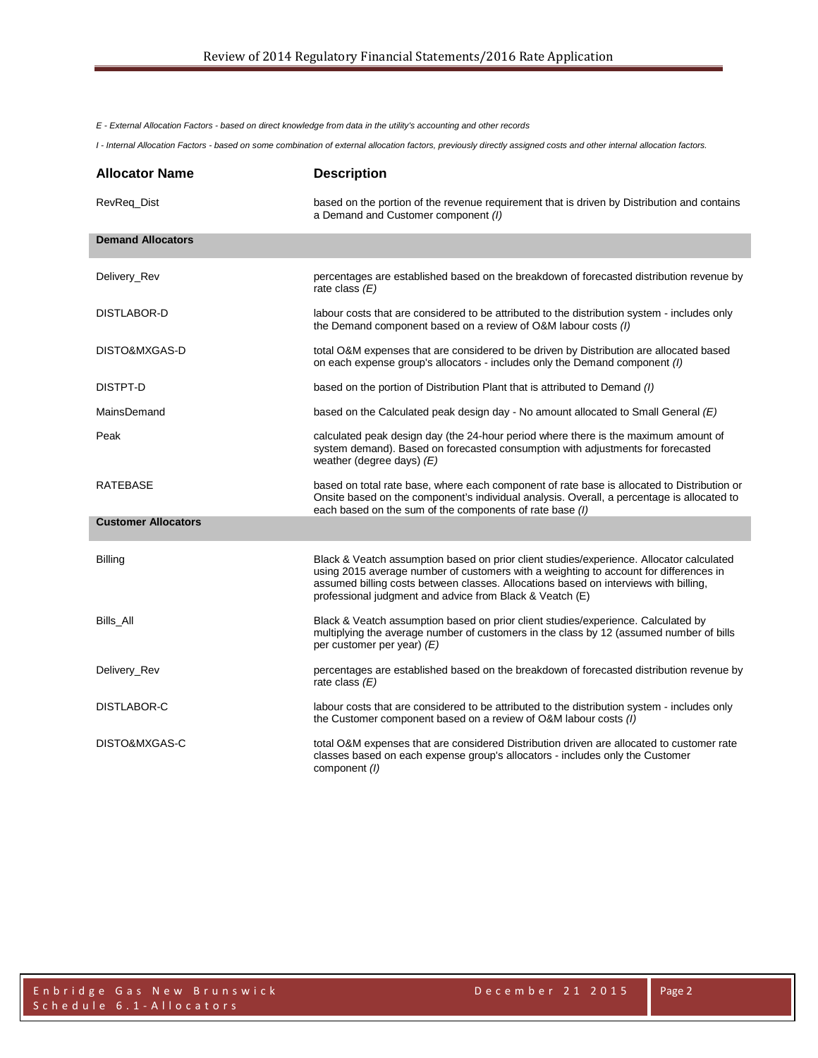*E - External Allocation Factors - based on direct knowledge from data in the utility's accounting and other records*

*I - Internal Allocation Factors - based on some combination of external allocation factors, previously directly assigned costs and other internal allocation factors.*

| <b>Allocator Name</b>      | <b>Description</b>                                                                                                                                                                                                                                                                                                                    |
|----------------------------|---------------------------------------------------------------------------------------------------------------------------------------------------------------------------------------------------------------------------------------------------------------------------------------------------------------------------------------|
| RevReq_Dist                | based on the portion of the revenue requirement that is driven by Distribution and contains<br>a Demand and Customer component (I)                                                                                                                                                                                                    |
| <b>Demand Allocators</b>   |                                                                                                                                                                                                                                                                                                                                       |
| Delivery_Rev               | percentages are established based on the breakdown of forecasted distribution revenue by<br>rate class $(E)$                                                                                                                                                                                                                          |
| DISTLABOR-D                | labour costs that are considered to be attributed to the distribution system - includes only<br>the Demand component based on a review of O&M labour costs (I)                                                                                                                                                                        |
| DISTO&MXGAS-D              | total O&M expenses that are considered to be driven by Distribution are allocated based<br>on each expense group's allocators - includes only the Demand component (I)                                                                                                                                                                |
| DISTPT-D                   | based on the portion of Distribution Plant that is attributed to Demand (I)                                                                                                                                                                                                                                                           |
| MainsDemand                | based on the Calculated peak design day - No amount allocated to Small General $(E)$                                                                                                                                                                                                                                                  |
| Peak                       | calculated peak design day (the 24-hour period where there is the maximum amount of<br>system demand). Based on forecasted consumption with adjustments for forecasted<br>weather (degree days) $(E)$                                                                                                                                 |
| <b>RATEBASE</b>            | based on total rate base, where each component of rate base is allocated to Distribution or<br>Onsite based on the component's individual analysis. Overall, a percentage is allocated to<br>each based on the sum of the components of rate base (I)                                                                                 |
| <b>Customer Allocators</b> |                                                                                                                                                                                                                                                                                                                                       |
| <b>Billing</b>             | Black & Veatch assumption based on prior client studies/experience. Allocator calculated<br>using 2015 average number of customers with a weighting to account for differences in<br>assumed billing costs between classes. Allocations based on interviews with billing,<br>professional judgment and advice from Black & Veatch (E) |
| Bills All                  | Black & Veatch assumption based on prior client studies/experience. Calculated by<br>multiplying the average number of customers in the class by 12 (assumed number of bills<br>per customer per year) $(E)$                                                                                                                          |
| Delivery_Rev               | percentages are established based on the breakdown of forecasted distribution revenue by<br>rate class $(E)$                                                                                                                                                                                                                          |
| DISTLABOR-C                | labour costs that are considered to be attributed to the distribution system - includes only<br>the Customer component based on a review of O&M labour costs (I)                                                                                                                                                                      |
| DISTO&MXGAS-C              | total O&M expenses that are considered Distribution driven are allocated to customer rate<br>classes based on each expense group's allocators - includes only the Customer<br>component (1)                                                                                                                                           |